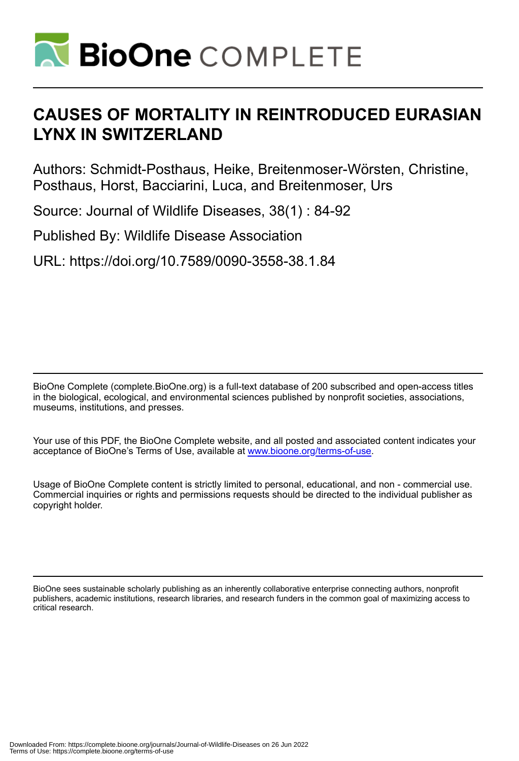

# **CAUSES OF MORTALITY IN REINTRODUCED EURASIAN LYNX IN SWITZERLAND**

Authors: Schmidt-Posthaus, Heike, Breitenmoser-Wörsten, Christine, Posthaus, Horst, Bacciarini, Luca, and Breitenmoser, Urs

Source: Journal of Wildlife Diseases, 38(1) : 84-92

Published By: Wildlife Disease Association

URL: https://doi.org/10.7589/0090-3558-38.1.84

BioOne Complete (complete.BioOne.org) is a full-text database of 200 subscribed and open-access titles in the biological, ecological, and environmental sciences published by nonprofit societies, associations, museums, institutions, and presses.

Your use of this PDF, the BioOne Complete website, and all posted and associated content indicates your acceptance of BioOne's Terms of Use, available at www.bioone.org/terms-of-use.

Usage of BioOne Complete content is strictly limited to personal, educational, and non - commercial use. Commercial inquiries or rights and permissions requests should be directed to the individual publisher as copyright holder.

BioOne sees sustainable scholarly publishing as an inherently collaborative enterprise connecting authors, nonprofit publishers, academic institutions, research libraries, and research funders in the common goal of maximizing access to critical research.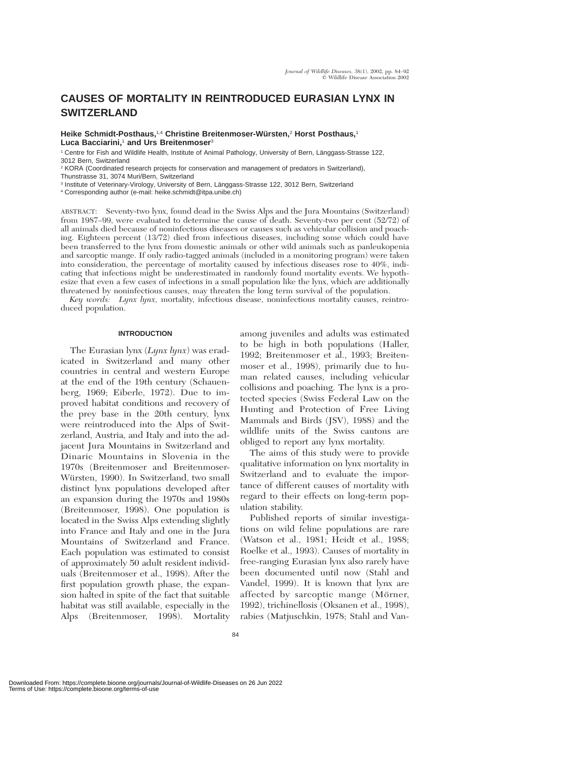## **CAUSES OF MORTALITY IN REINTRODUCED EURASIAN LYNX IN SWITZERLAND**

**Heike Schmidt-Posthaus,**1,4 **Christine Breitenmoser-Wu¨rsten,**<sup>2</sup> **Horst Posthaus,**<sup>1</sup> **Luca Bacciarini,**<sup>1</sup> **and Urs Breitenmoser**<sup>3</sup>

1 Centre for Fish and Wildlife Health, Institute of Animal Pathology, University of Bern, Länggass-Strasse 122, 3012 Bern, Switzerland

<sup>2</sup> KORA (Coordinated research projects for conservation and management of predators in Switzerland), Thunstrasse 31, 3074 Muri/Bern, Switzerland

<sup>3</sup> Institute of Veterinary-Virology, University of Bern, Länggass-Strasse 122, 3012 Bern, Switzerland

<sup>4</sup> Corresponding author (e-mail: heike.schmidt@itpa.unibe.ch)

ABSTRACT: Seventy-two lynx, found dead in the Swiss Alps and the Jura Mountains (Switzerland) from 1987–99, were evaluated to determine the cause of death. Seventy-two per cent (52/72) of all animals died because of noninfectious diseases or causes such as vehicular collision and poaching. Eighteen percent (13/72) died from infectious diseases, including some which could have been transferred to the lynx from domestic animals or other wild animals such as panleukopenia and sarcoptic mange. If only radio-tagged animals (included in a monitoring program) were taken into consideration, the percentage of mortality caused by infectious diseases rose to 40%, indicating that infections might be underestimated in randomly found mortality events. We hypothesize that even a few cases of infections in a small population like the lynx, which are additionally threatened by noninfectious causes, may threaten the long term survival of the population.

*Key words: Lynx lynx,* mortality, infectious disease, noninfectious mortality causes, reintroduced population.

#### **INTRODUCTION**

The Eurasian lynx (*Lynx lynx*) was eradicated in Switzerland and many other countries in central and western Europe at the end of the 19th century (Schauenberg, 1969; Eiberle, 1972). Due to improved habitat conditions and recovery of the prey base in the 20th century, lynx were reintroduced into the Alps of Switzerland, Austria, and Italy and into the adjacent Jura Mountains in Switzerland and Dinaric Mountains in Slovenia in the 1970s (Breitenmoser and Breitenmoser-Würsten, 1990). In Switzerland, two small distinct lynx populations developed after an expansion during the 1970s and 1980s (Breitenmoser, 1998). One population is located in the Swiss Alps extending slightly into France and Italy and one in the Jura Mountains of Switzerland and France. Each population was estimated to consist of approximately 50 adult resident individuals (Breitenmoser et al., 1998). After the first population growth phase, the expansion halted in spite of the fact that suitable habitat was still available, especially in the Alps (Breitenmoser, 1998). Mortality

among juveniles and adults was estimated to be high in both populations (Haller, 1992; Breitenmoser et al., 1993; Breitenmoser et al., 1998), primarily due to human related causes, including vehicular collisions and poaching. The lynx is a protected species (Swiss Federal Law on the Hunting and Protection of Free Living Mammals and Birds (JSV), 1988) and the wildlife units of the Swiss cantons are obliged to report any lynx mortality.

The aims of this study were to provide qualitative information on lynx mortality in Switzerland and to evaluate the importance of different causes of mortality with regard to their effects on long-term population stability.

Published reports of similar investigations on wild feline populations are rare (Watson et al., 1981; Heidt et al., 1988; Roelke et al., 1993). Causes of mortality in free-ranging Eurasian lynx also rarely have been documented until now (Stahl and Vandel, 1999). It is known that lynx are affected by sarcoptic mange (Mörner, 1992), trichinellosis (Oksanen et al., 1998), rabies (Matjuschkin, 1978; Stahl and Van-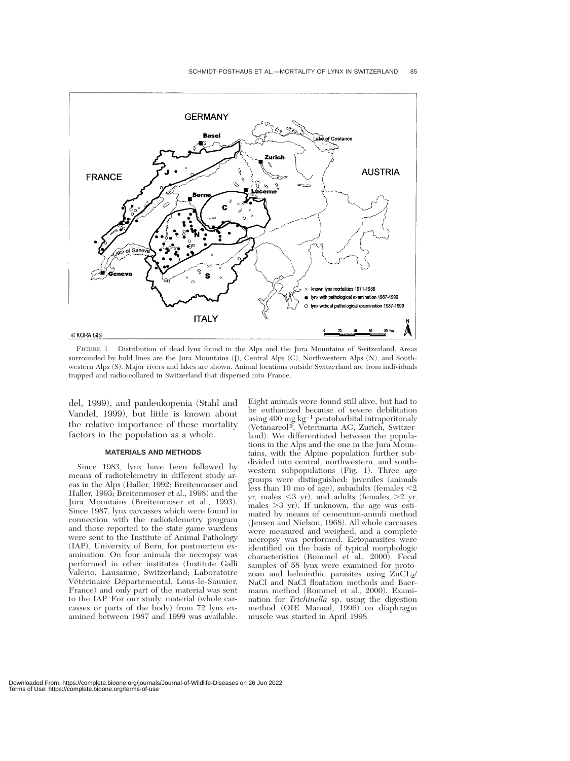

FIGURE 1. Distribution of dead lynx found in the Alps and the Jura Mountains of Switzerland. Areas surrounded by bold lines are the Jura Mountains (J), Central Alps (C), Northwestern Alps (N), and Southwestern Alps (S). Major rivers and lakes are shown. Animal locations outside Switzerland are from individuals trapped and radio-collared in Switzerland that dispersed into France.

del, 1999), and panleukopenia (Stahl and Vandel, 1999), but little is known about the relative importance of these mortality factors in the population as a whole.

#### **MATERIALS AND METHODS**

Since 1983, lynx have been followed by means of radiotelemetry in different study areas in the Alps (Haller, 1992; Breitenmoser and Haller, 1993; Breitenmoser et al., 1998) and the Jura Mountains (Breitenmoser et al., 1993). Since 1987, lynx carcasses which were found in connection with the radiotelemetry program and those reported to the state game wardens were sent to the Institute of Animal Pathology (IAP), University of Bern, for postmortem examination. On four animals the necropsy was performed in other institutes (Institute Galli Valerio, Lausanne, Switzerland; Laboratoire Vétérinaire Départemental, Lons-le-Saunier, France) and only part of the material was sent to the IAP. For our study, material (whole carcasses or parts of the body) from 72 lynx examined between 1987 and 1999 was available.

Eight animals were found still alive, but had to be euthanized because of severe debilitation using 400 mg $\rm kg^{-1}$  pentobarbital intraperitonaly (Vetanarcol-, Veterinaria AG, Zurich, Switzerland). We differentiated between the populations in the Alps and the one in the Jura Mountains, with the Alpine population further subdivided into central, northwestern, and southwestern subpopulations (Fig. 1). Three age groups were distinguished: juveniles (animals less than 10 mo of age), subadults (females  $\leq$ 2 yr, males -3 yr), and adults (females 2 yr, males  $>3$  yr). If unknown, the age was estimated by means of cementum-annuli method (Jensen and Nielson, 1968). All whole carcasses were measured and weighed, and a complete necropsy was performed. Ectoparasites were identified on the basis of typical morphologic characteristics (Rommel et al.,  $2000$ ). Fecal samples of 58 lynx were examined for protozoan and helminthic parasites using  $ZnCL<sub>2</sub>/$ NaCl and NaCl floatation methods and Baermann method (Rommel et al., 2000). Examination for *Trichinella* sp. using the digestion method (OIE Manual, 1996) on diaphragm muscle was started in April 1998.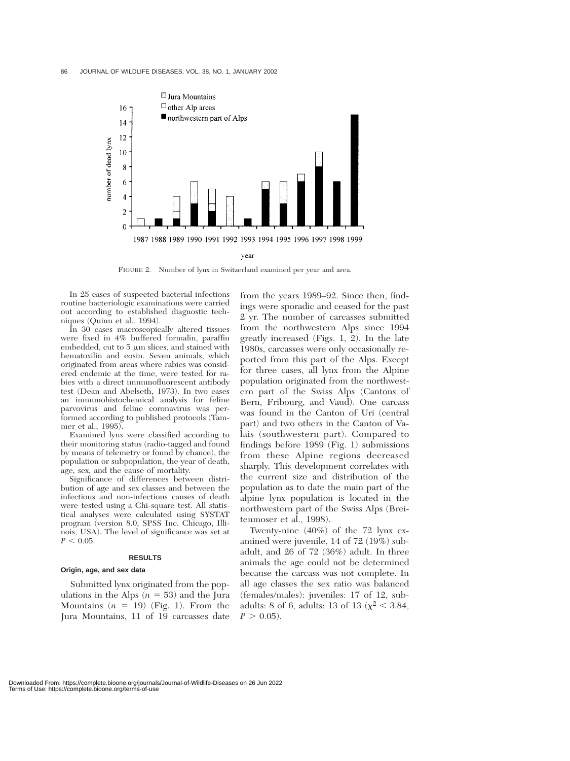

FIGURE 2. Number of lynx in Switzerland examined per year and area.

In 25 cases of suspected bacterial infections routine bacteriologic examinations were carried out according to established diagnostic techniques (Quinn et al., 1994).

In 30 cases macroscopically altered tissues were fixed in 4% buffered formalin, paraffin embedded, cut to  $5 \mu m$  slices, and stained with hematoxilin and eosin. Seven animals, which originated from areas where rabies was considered endemic at the time, were tested for rabies with a direct immunofluorescent antibody test (Dean and Abelseth, 1973). In two cases an immunohistochemical analysis for feline parvovirus and feline coronavirus was performed according to published protocols (Tammer et al., 1995).

Examined lynx were classified according to their monitoring status (radio-tagged and found by means of telemetry or found by chance), the population or subpopulation, the year of death, age, sex, and the cause of mortality.

Significance of differences between distribution of age and sex classes and between the infectious and non-infectious causes of death were tested using a Chi-square test. All statistical analyses were calculated using SYSTAT program (version 8.0, SPSS Inc. Chicago, Illinois, USA). The level of significance was set at  $P < 0.05$ .

#### **RESULTS**

#### **Origin, age, and sex data**

Submitted lynx originated from the populations in the Alps  $(n = 53)$  and the Jura Mountains  $(n = 19)$  (Fig. 1). From the Jura Mountains, 11 of 19 carcasses date

from the years 1989–92. Since then, findings were sporadic and ceased for the past 2 yr. The number of carcasses submitted from the northwestern Alps since 1994 greatly increased (Figs. 1, 2). In the late 1980s, carcasses were only occasionally reported from this part of the Alps. Except for three cases, all lynx from the Alpine population originated from the northwestern part of the Swiss Alps (Cantons of Bern, Fribourg, and Vaud). One carcass was found in the Canton of Uri (central part) and two others in the Canton of Valais (southwestern part). Compared to findings before 1989 (Fig. 1) submissions from these Alpine regions decreased sharply. This development correlates with the current size and distribution of the population as to date the main part of the alpine lynx population is located in the northwestern part of the Swiss Alps (Breitenmoser et al., 1998).

Twenty-nine (40%) of the 72 lynx examined were juvenile, 14 of 72 (19%) subadult, and 26 of 72 (36%) adult. In three animals the age could not be determined because the carcass was not complete. In all age classes the sex ratio was balanced (females/males): juveniles: 17 of 12, subadults: 8 of 6, adults: 13 of 13 ( $\chi^2$  < 3.84,  $P > 0.05$ .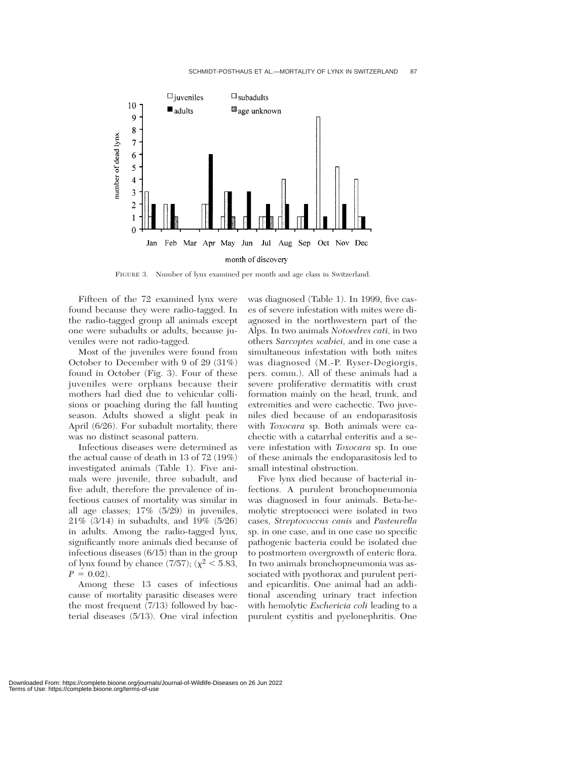

FIGURE 3. Number of lynx examined per month and age class in Switzerland.

Fifteen of the 72 examined lynx were found because they were radio-tagged. In the radio-tagged group all animals except one were subadults or adults, because juveniles were not radio-tagged.

Most of the juveniles were found from October to December with 9 of 29 (31%) found in October (Fig. 3). Four of these juveniles were orphans because their mothers had died due to vehicular collisions or poaching during the fall hunting season. Adults showed a slight peak in April (6/26). For subadult mortality, there was no distinct seasonal pattern.

Infectious diseases were determined as the actual cause of death in 13 of 72 (19%) investigated animals (Table 1). Five animals were juvenile, three subadult, and five adult, therefore the prevalence of infectious causes of mortality was similar in all age classes; 17% (5/29) in juveniles, 21% (3/14) in subadults, and 19% (5/26) in adults. Among the radio-tagged lynx, significantly more animals died because of infectious diseases (6/15) than in the group of lynx found by chance  $(7/57)$ ;  $(\chi^2 < 5.83)$ ,  $P = 0.02$ .

Among these 13 cases of infectious cause of mortality parasitic diseases were the most frequent (7/13) followed by bacterial diseases (5/13). One viral infection was diagnosed (Table 1). In 1999, five cases of severe infestation with mites were diagnosed in the northwestern part of the Alps. In two animals *Notoedres cati,* in two others *Sarcoptes scabiei,* and in one case a simultaneous infestation with both mites was diagnosed (M.-P. Ryser-Degiorgis, pers. comm.). All of these animals had a severe proliferative dermatitis with crust formation mainly on the head, trunk, and extremities and were cachectic. Two juveniles died because of an endoparasitosis with *Toxocara* sp. Both animals were cachectic with a catarrhal enteritis and a severe infestation with *Toxocara* sp. In one of these animals the endoparasitosis led to small intestinal obstruction.

Five lynx died because of bacterial infections. A purulent bronchopneumonia was diagnosed in four animals. Beta-hemolytic streptococci were isolated in two cases, *Streptococcus canis* and *Pasteurella* sp. in one case, and in one case no specific pathogenic bacteria could be isolated due to postmortem overgrowth of enteric flora. In two animals bronchopneumonia was associated with pyothorax and purulent periand epicarditis. One animal had an additional ascending urinary tract infection with hemolytic *Eschericia coli* leading to a purulent cystitis and pyelonephritis. One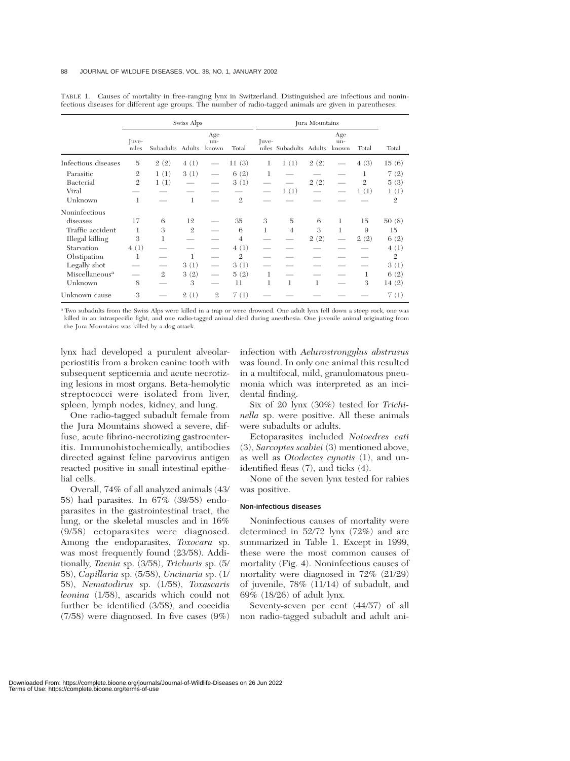|                            | Swiss Alps     |                  |                |                     |                | Jura Mountains |                        |      |                             |                |                |
|----------------------------|----------------|------------------|----------------|---------------------|----------------|----------------|------------------------|------|-----------------------------|----------------|----------------|
|                            | Juve-<br>niles | Subadults Adults |                | Age<br>un-<br>known | Total          | Juve-          | niles Subadults Adults |      | Age<br>$un-$<br>known       | Total          | Total          |
| Infectious diseases        | 5              | 2(2)             | 4(1)           |                     | 11(3)          | 1              | 1(1)                   | 2(2) |                             | 4(3)           | 15(6)          |
| Parasitic                  | $\mathbf{2}$   | 1(1)             | 3(1)           |                     | 6(2)           | 1              |                        |      |                             | 1              | 7(2)           |
| Bacterial                  | $\mathfrak{2}$ | 1(1)             |                |                     | 3(1)           |                |                        | 2(2) |                             | $\overline{2}$ | 5(3)           |
| Viral                      |                |                  |                |                     |                |                | 1(1)                   |      |                             | 1(1)           | 1(1)           |
| Unknown                    | 1              |                  | $\mathbf{1}$   |                     | $\mathfrak{2}$ |                |                        |      |                             |                | $\mathfrak{2}$ |
| Noninfectious              |                |                  |                |                     |                |                |                        |      |                             |                |                |
| diseases                   | 17             | 6                | 12             |                     | 35             | 3              | $\overline{5}$         | 6    | 1                           | 15             | 50(8)          |
| Traffic accident           | 1              | 3                | $\mathfrak{2}$ |                     | 6              | 1              | $\overline{4}$         | 3    | 1                           | 9              | 15             |
| Illegal killing            | 3              | 1                |                |                     | $\overline{4}$ |                |                        | 2(2) | $\overbrace{\hspace{15em}}$ | 2(2)           | 6(2)           |
| Starvation                 | 4(1)           |                  |                |                     | 4(1)           |                |                        |      |                             |                | 4(1)           |
| Obstipation                | 1              |                  | 1              |                     | $\mathfrak{2}$ |                |                        |      |                             |                | $\mathfrak{2}$ |
| Legally shot               |                |                  | 3(1)           |                     | 3(1)           |                |                        |      |                             |                | 3(1)           |
| Miscellaneous <sup>a</sup> |                | $\mathfrak{2}$   | 3(2)           |                     | 5(2)           | 1              |                        |      |                             | 1              | 6(2)           |
| Unknown                    | 8              |                  | 3              |                     | 11             | 1              | 1                      | 1    |                             | 3              | 14(2)          |
| Unknown cause              | 3              |                  | 2(1)           | $\mathfrak{2}$      | 7(1)           |                |                        |      |                             |                | 7(1)           |

TABLE 1. Causes of mortality in free-ranging lynx in Switzerland. Distinguished are infectious and noninfectious diseases for different age groups. The number of radio-tagged animals are given in parentheses.

<sup>a</sup> Two subadults from the Swiss Alps were killed in a trap or were drowned. One adult lynx fell down a steep rock, one was killed in an intraspecific fight, and one radio-tagged animal died during anesthesia. One juvenile animal originating from the Jura Mountains was killed by a dog attack.

lynx had developed a purulent alveolarperiostitis from a broken canine tooth with subsequent septicemia and acute necrotizing lesions in most organs. Beta-hemolytic streptococci were isolated from liver, spleen, lymph nodes, kidney, and lung.

One radio-tagged subadult female from the Jura Mountains showed a severe, diffuse, acute fibrino-necrotizing gastroenteritis. Immunohistochemically, antibodies directed against feline parvovirus antigen reacted positive in small intestinal epithelial cells.

Overall, 74% of all analyzed animals (43/ 58) had parasites. In 67% (39/58) endoparasites in the gastrointestinal tract, the lung, or the skeletal muscles and in 16% (9/58) ectoparasites were diagnosed. Among the endoparasites, *Toxocara* sp. was most frequently found (23/58). Additionally, *Taenia* sp. (3/58), *Trichuris* sp. (5/ 58), *Capillaria* sp. (5/58), *Uncinaria* sp. (1/ 58), *Nematodirus* sp. (1/58), *Toxascaris leonina* (1/58), ascarids which could not further be identified (3/58), and coccidia (7/58) were diagnosed. In five cases (9%)

infection with *Aelurostrongylus abstrusus* was found. In only one animal this resulted in a multifocal, mild, granulomatous pneumonia which was interpreted as an incidental finding.

Six of 20 lynx (30%) tested for *Trichinella* sp. were positive. All these animals were subadults or adults.

Ectoparasites included *Notoedres cati* (3), *Sarcoptes scabiei* (3) mentioned above, as well as *Otodectes cynotis* (1), and unidentified fleas (7), and ticks (4).

None of the seven lynx tested for rabies was positive.

#### **Non-infectious diseases**

Noninfectious causes of mortality were determined in 52/72 lynx (72%) and are summarized in Table 1. Except in 1999, these were the most common causes of mortality (Fig. 4). Noninfectious causes of mortality were diagnosed in 72% (21/29) of juvenile, 78% (11/14) of subadult, and 69% (18/26) of adult lynx.

Seventy-seven per cent (44/57) of all non radio-tagged subadult and adult ani-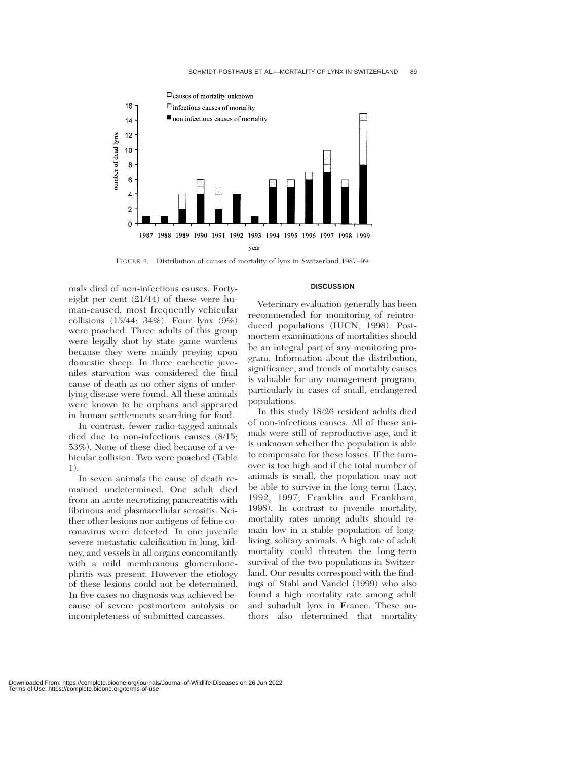

FIGURE 4. Distribution of causes of mortality of lynx in Switzerland 1987–99.

mals died of non-infectious causes. Fortyeight per cent (21/44) of these were human-caused, most frequently vehicular collisions (15/44; 34%). Four lynx (9%) were poached. Three adults of this group were legally shot by state game wardens because they were mainly preying upon domestic sheep. In three cachectic juveniles starvation was considered the final cause of death as no other signs of underlying disease were found. All these animals were known to be orphans and appeared in human settlements searching for food.

In contrast, fewer radio-tagged animals died due to non-infectious causes (8/15; 53%). None of these died because of a vehicular collision. Two were poached (Table 1).

In seven animals the cause of death remained undetermined. One adult died from an acute necrotizing pancreatitis with fibrinous and plasmacellular serositis. Neither other lesions nor antigens of feline coronavirus were detected. In one juvenile severe metastatic calcification in lung, kidney, and vessels in all organs concomitantly with a mild membranous glomerulonephritis was present. However the etiology of these lesions could not be determined. In five cases no diagnosis was achieved because of severe postmortem autolysis or incompleteness of submitted carcasses.

### **DISCUSSION**

Veterinary evaluation generally has been recommended for monitoring of reintroduced populations (IUCN, 1998). Postmortem examinations of mortalities should be an integral part of any monitoring program. Information about the distribution, significance, and trends of mortality causes is valuable for any management program, particularly in cases of small, endangered populations.

In this study 18/26 resident adults died of non-infectious causes. All of these animals were still of reproductive age, and it is unknown whether the population is able to compensate for these losses. If the turnover is too high and if the total number of animals is small, the population may not be able to survive in the long term (Lacy, 1992, 1997; Franklin and Frankham, 1998). In contrast to juvenile mortality, mortality rates among adults should remain low in a stable population of longliving, solitary animals. A high rate of adult mortality could threaten the long-term survival of the two populations in Switzerland. Our results correspond with the findings of Stahl and Vandel (1999) who also found a high mortality rate among adult and subadult lynx in France. These authors also determined that mortality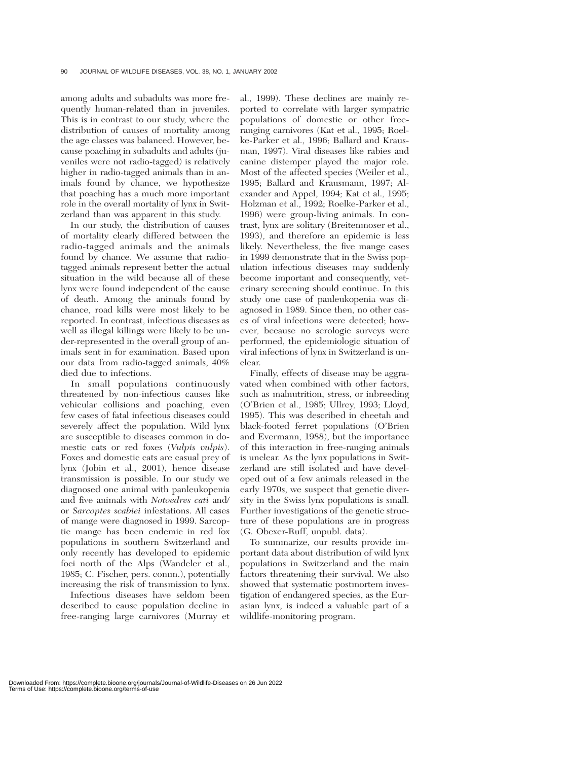among adults and subadults was more frequently human-related than in juveniles. This is in contrast to our study, where the distribution of causes of mortality among the age classes was balanced. However, because poaching in subadults and adults (juveniles were not radio-tagged) is relatively higher in radio-tagged animals than in animals found by chance, we hypothesize that poaching has a much more important role in the overall mortality of lynx in Switzerland than was apparent in this study.

In our study, the distribution of causes of mortality clearly differed between the radio-tagged animals and the animals found by chance. We assume that radiotagged animals represent better the actual situation in the wild because all of these lynx were found independent of the cause of death. Among the animals found by chance, road kills were most likely to be reported. In contrast, infectious diseases as well as illegal killings were likely to be under-represented in the overall group of animals sent in for examination. Based upon our data from radio-tagged animals, 40% died due to infections.

In small populations continuously threatened by non-infectious causes like vehicular collisions and poaching, even few cases of fatal infectious diseases could severely affect the population. Wild lynx are susceptible to diseases common in domestic cats or red foxes (*Vulpis vulpis*). Foxes and domestic cats are casual prey of lynx (Jobin et al., 2001), hence disease transmission is possible. In our study we diagnosed one animal with panleukopenia and five animals with *Notoedres cati* and/ or *Sarcoptes scabiei* infestations. All cases of mange were diagnosed in 1999. Sarcoptic mange has been endemic in red fox populations in southern Switzerland and only recently has developed to epidemic foci north of the Alps (Wandeler et al., 1985; C. Fischer, pers. comm.), potentially increasing the risk of transmission to lynx.

Infectious diseases have seldom been described to cause population decline in free-ranging large carnivores (Murray et

al., 1999). These declines are mainly reported to correlate with larger sympatric populations of domestic or other freeranging carnivores (Kat et al., 1995; Roelke-Parker et al., 1996; Ballard and Krausman, 1997). Viral diseases like rabies and canine distemper played the major role. Most of the affected species (Weiler et al., 1995; Ballard and Krausmann, 1997; Alexander and Appel, 1994; Kat et al., 1995; Holzman et al., 1992; Roelke-Parker et al., 1996) were group-living animals. In contrast, lynx are solitary (Breitenmoser et al., 1993), and therefore an epidemic is less likely. Nevertheless, the five mange cases in 1999 demonstrate that in the Swiss population infectious diseases may suddenly become important and consequently, veterinary screening should continue. In this study one case of panleukopenia was diagnosed in 1989. Since then, no other cases of viral infections were detected; however, because no serologic surveys were performed, the epidemiologic situation of viral infections of lynx in Switzerland is unclear.

Finally, effects of disease may be aggravated when combined with other factors, such as malnutrition, stress, or inbreeding (O'Brien et al., 1985; Ullrey, 1993; Lloyd, 1995). This was described in cheetah and black-footed ferret populations (O'Brien and Evermann, 1988), but the importance of this interaction in free-ranging animals is unclear. As the lynx populations in Switzerland are still isolated and have developed out of a few animals released in the early 1970s, we suspect that genetic diversity in the Swiss lynx populations is small. Further investigations of the genetic structure of these populations are in progress (G. Obexer-Ruff, unpubl. data).

To summarize, our results provide important data about distribution of wild lynx populations in Switzerland and the main factors threatening their survival. We also showed that systematic postmortem investigation of endangered species, as the Eurasian lynx, is indeed a valuable part of a wildlife-monitoring program.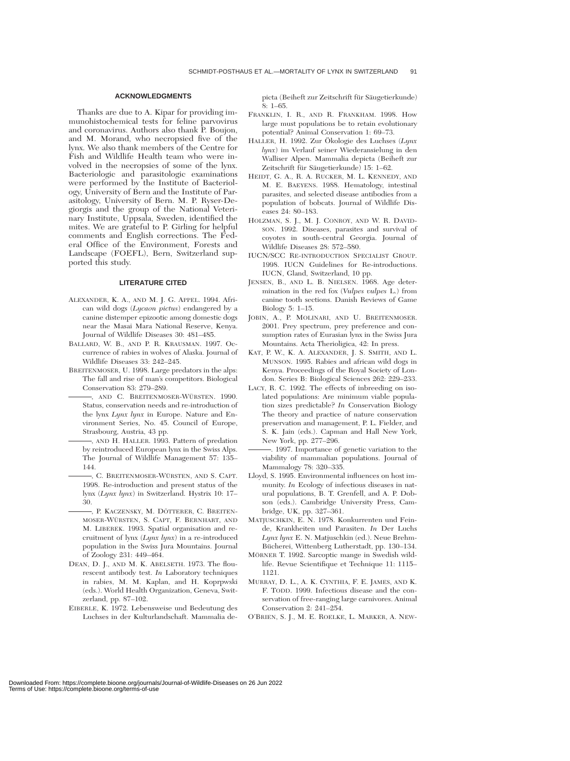#### **ACKNOWLEDGMENTS**

Thanks are due to A. Kipar for providing immunohistochemical tests for feline parvovirus and coronavirus. Authors also thank P. Boujon, and M. Morand, who necropsied five of the lynx. We also thank members of the Centre for Fish and Wildlife Health team who were involved in the necropsies of some of the lynx. Bacteriologic and parasitologic examinations were performed by the Institute of Bacteriology, University of Bern and the Institute of Parasitology, University of Bern. M. P. Ryser-Degiorgis and the group of the National Veterinary Institute, Uppsala, Sweden, identified the mites. We are grateful to P. Girling for helpful comments and English corrections. The Federal Office of the Environment, Forests and Landscape (FOEFL), Bern, Switzerland supported this study.

#### **LITERATURE CITED**

- ALEXANDER, K. A., AND M. J. G. APPEL. 1994. African wild dogs (*Lycaon pictus*) endangered by a canine distemper epizootic among domestic dogs near the Masai Mara National Reserve, Kenya. Journal of Wildlife Diseases 30: 481–485.
- BALLARD, W. B., AND P. R. KRAUSMAN. 1997. Occurrence of rabies in wolves of Alaska. Journal of Wildlife Diseases 33: 242–245.
- BREITENMOSER, U. 1998. Large predators in the alps: The fall and rise of man's competitors. Biological Conservation 83: 279–289.
- , AND C. BREITENMOSER-WÜRSTEN. 1990. Status, conservation needs and re-introduction of the lynx *Lynx lynx* in Europe. Nature and Environment Series, No. 45. Council of Europe, Strasbourg, Austria, 43 pp.
- , AND H. HALLER. 1993. Pattern of predation by reintroduced European lynx in the Swiss Alps. The Journal of Wildlife Management 57: 135– 144.
- , C. BREITENMOSER-WÜRSTEN, AND S. CAPT. 1998. Re-introduction and present status of the lynx (*Lynx lynx*) in Switzerland. Hystrix 10: 17– 30.
- , P. KACZENSKY, M. DÖTTERER, C. BREITEN-MOSER-WÜRSTEN, S. CAPT, F. BERNHART, AND M. LIBEREK. 1993. Spatial organisation and recruitment of lynx (*Lynx lynx*) in a re-introduced population in the Swiss Jura Mountains. Journal of Zoology 231: 449–464.
- DEAN, D. J., AND M. K. ABELSETH. 1973. The flourescent antibody test. *In* Laboratory techniques in rabies, M. M. Kaplan, and H. Koprpwski (eds.). World Health Organization, Geneva, Switzerland, pp. 87–102.
- EIBERLE, K. 1972. Lebensweise und Bedeutung des Luchses in der Kulturlandschaft. Mammalia de-

picta (Beiheft zur Zeitschrift für Säugetierkunde) 8: 1–65.

- FRANKLIN, I. R., AND R. FRANKHAM. 1998. How large must populations be to retain evolutionary potential? Animal Conservation 1: 69–73.
- HALLER, H. 1992. Zur Ökologie des Luchses (Lynx *lynx*) im Verlauf seiner Wiederansielung in den Walliser Alpen. Mammalia depicta (Beiheft zur Zeitschrift für Säugetierkunde) 15: 1–62.
- HEIDT, G. A., R. A. RUCKER, M. L. KENNEDY, AND M. E. BAEYENS. 1988. Hematology, intestinal parasites, and selected disease antibodies from a population of bobcats. Journal of Wildlife Diseases 24: 80–183.
- HOLZMAN, S. J., M. J. CONROY, AND W. R. DAVID-SON. 1992. Diseases, parasites and survival of coyotes in south-central Georgia. Journal of Wildlife Diseases 28: 572–580.
- IUCN/SCC RE-INTRODUCTION SPECIALIST GROUP. 1998. IUCN Guidelines for Re-introductions. IUCN, Gland, Switzerland, 10 pp.
- JENSEN, B., AND L. B. NIELSEN. 1968. Age determination in the red fox (*Vulpes vulpes* L.) from canine tooth sections. Danish Reviews of Game Biology 5: 1–15.
- JOBIN, A., P. MOLINARI, AND U. BREITENMOSER. 2001. Prey spectrum, prey preference and consumption rates of Eurasian lynx in the Swiss Jura Mountains. Acta Therioligica, 42: In press.
- KAT, P. W., K. A. ALEXANDER, J. S. SMITH, AND L. MUNSON. 1995. Rabies and african wild dogs in Kenya. Proceedings of the Royal Society of London. Series B: Biological Sciences 262: 229–233.
- LACY, R. C. 1992. The effects of inbreeding on isolated populations: Are minimum viable population sizes predictable? *In* Conservation Biology The theory and practice of nature conservation preservation and management, P. L. Fielder, and S. K. Jain (eds.). Capman and Hall New York, New York, pp. 277–296.
- . 1997. Importance of genetic variation to the viability of mammalian populations. Journal of Mammalogy 78: 320–335.
- Lloyd, S. 1995. Environmental influences on host immunity. *In* Ecology of infectious diseases in natural populations, B. T. Grenfell, and A. P. Dobson (eds.). Cambridge University Press, Cambridge, UK, pp. 327–361.
- MATJUSCHKIN, E. N. 1978. Konkurrenten und Feinde, Krankheiten und Parasiten. *In* Der Luchs *Lynx lynx* E. N. Matjuschkin (ed.). Neue Brehm-Bücherei, Wittenberg Lutherstadt, pp. 130-134.
- MÖRNER T. 1992. Sarcoptic mange in Swedish wildlife. Revue Scientifique et Technique 11: 1115– 1121.
- MURRAY, D. L., A. K. CYNTHIA, F. E. JAMES, AND K. F. TODD. 1999. Infectious disease and the conservation of free-ranging large carnivores. Animal Conservation 2: 241–254.
- O'BRIEN, S. J., M. E. ROELKE, L. MARKER, A. NEW-